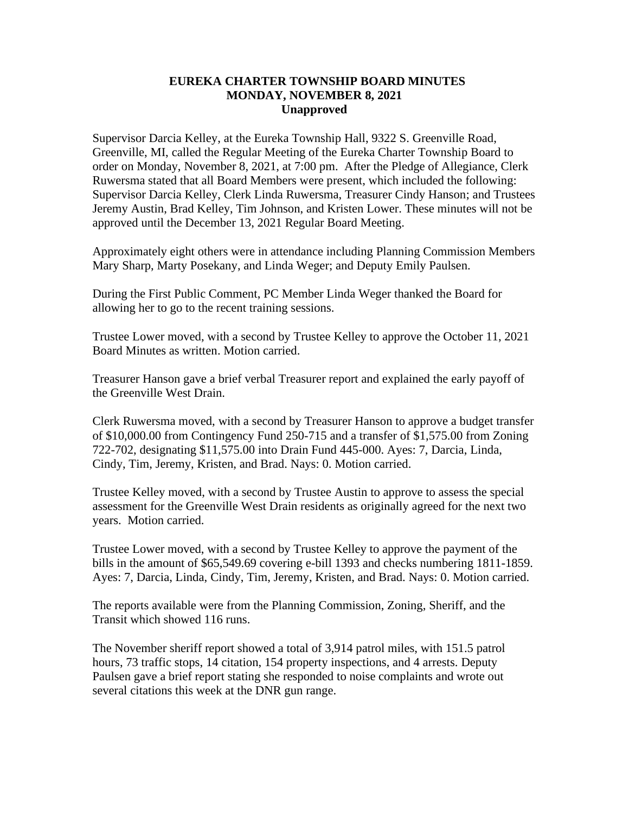## **EUREKA CHARTER TOWNSHIP BOARD MINUTES MONDAY, NOVEMBER 8, 2021 Unapproved**

Supervisor Darcia Kelley, at the Eureka Township Hall, 9322 S. Greenville Road, Greenville, MI, called the Regular Meeting of the Eureka Charter Township Board to order on Monday, November 8, 2021, at 7:00 pm. After the Pledge of Allegiance, Clerk Ruwersma stated that all Board Members were present, which included the following: Supervisor Darcia Kelley, Clerk Linda Ruwersma, Treasurer Cindy Hanson; and Trustees Jeremy Austin, Brad Kelley, Tim Johnson, and Kristen Lower. These minutes will not be approved until the December 13, 2021 Regular Board Meeting.

Approximately eight others were in attendance including Planning Commission Members Mary Sharp, Marty Posekany, and Linda Weger; and Deputy Emily Paulsen.

During the First Public Comment, PC Member Linda Weger thanked the Board for allowing her to go to the recent training sessions.

Trustee Lower moved, with a second by Trustee Kelley to approve the October 11, 2021 Board Minutes as written. Motion carried.

Treasurer Hanson gave a brief verbal Treasurer report and explained the early payoff of the Greenville West Drain.

Clerk Ruwersma moved, with a second by Treasurer Hanson to approve a budget transfer of \$10,000.00 from Contingency Fund 250-715 and a transfer of \$1,575.00 from Zoning 722-702, designating \$11,575.00 into Drain Fund 445-000. Ayes: 7, Darcia, Linda, Cindy, Tim, Jeremy, Kristen, and Brad. Nays: 0. Motion carried.

Trustee Kelley moved, with a second by Trustee Austin to approve to assess the special assessment for the Greenville West Drain residents as originally agreed for the next two years. Motion carried.

Trustee Lower moved, with a second by Trustee Kelley to approve the payment of the bills in the amount of \$65,549.69 covering e-bill 1393 and checks numbering 1811-1859. Ayes: 7, Darcia, Linda, Cindy, Tim, Jeremy, Kristen, and Brad. Nays: 0. Motion carried.

The reports available were from the Planning Commission, Zoning, Sheriff, and the Transit which showed 116 runs.

The November sheriff report showed a total of 3,914 patrol miles, with 151.5 patrol hours, 73 traffic stops, 14 citation, 154 property inspections, and 4 arrests. Deputy Paulsen gave a brief report stating she responded to noise complaints and wrote out several citations this week at the DNR gun range.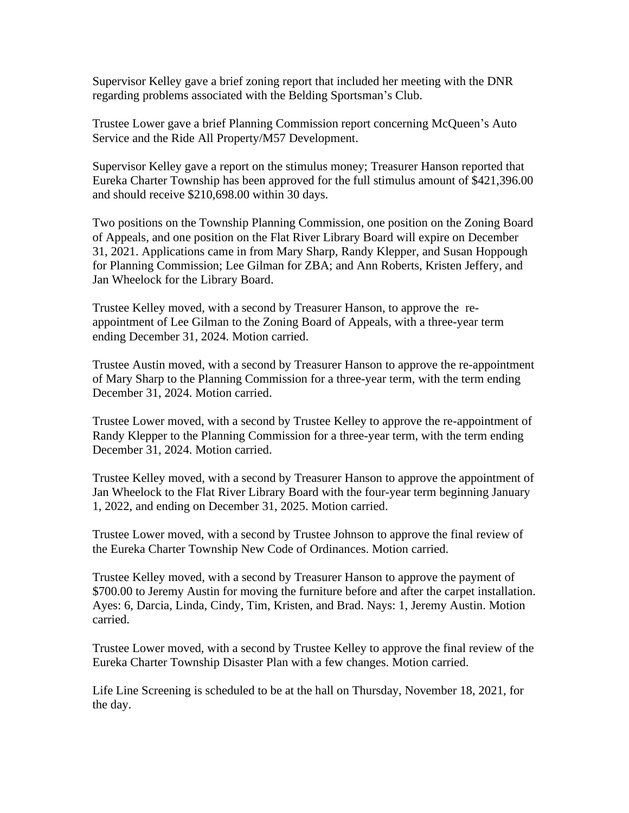Supervisor Kelley gave a brief zoning report that included her meeting with the DNR regarding problems associated with the Belding Sportsman's Club.

Trustee Lower gave a brief Planning Commission report concerning McQueen's Auto Service and the Ride All Property/M57 Development.

Supervisor Kelley gave a report on the stimulus money; Treasurer Hanson reported that Eureka Charter Township has been approved for the full stimulus amount of \$421,396.00 and should receive \$210,698.00 within 30 days.

Two positions on the Township Planning Commission, one position on the Zoning Board of Appeals, and one position on the Flat River Library Board will expire on December 31, 2021. Applications came in from Mary Sharp, Randy Klepper, and Susan Hoppough for Planning Commission; Lee Gilman for ZBA; and Ann Roberts, Kristen Jeffery, and Jan Wheelock for the Library Board.

Trustee Kelley moved, with a second by Treasurer Hanson, to approve the reappointment of Lee Gilman to the Zoning Board of Appeals, with a three-year term ending December 31, 2024. Motion carried.

Trustee Austin moved, with a second by Treasurer Hanson to approve the re-appointment of Mary Sharp to the Planning Commission for a three-year term, with the term ending December 31, 2024. Motion carried.

Trustee Lower moved, with a second by Trustee Kelley to approve the re-appointment of Randy Klepper to the Planning Commission for a three-year term, with the term ending December 31, 2024. Motion carried.

Trustee Kelley moved, with a second by Treasurer Hanson to approve the appointment of Jan Wheelock to the Flat River Library Board with the four-year term beginning January 1, 2022, and ending on December 31, 2025. Motion carried.

Trustee Lower moved, with a second by Trustee Johnson to approve the final review of the Eureka Charter Township New Code of Ordinances. Motion carried.

Trustee Kelley moved, with a second by Treasurer Hanson to approve the payment of \$700.00 to Jeremy Austin for moving the furniture before and after the carpet installation. Ayes: 6, Darcia, Linda, Cindy, Tim, Kristen, and Brad. Nays: 1, Jeremy Austin. Motion carried.

Trustee Lower moved, with a second by Trustee Kelley to approve the final review of the Eureka Charter Township Disaster Plan with a few changes. Motion carried.

Life Line Screening is scheduled to be at the hall on Thursday, November 18, 2021, for the day.